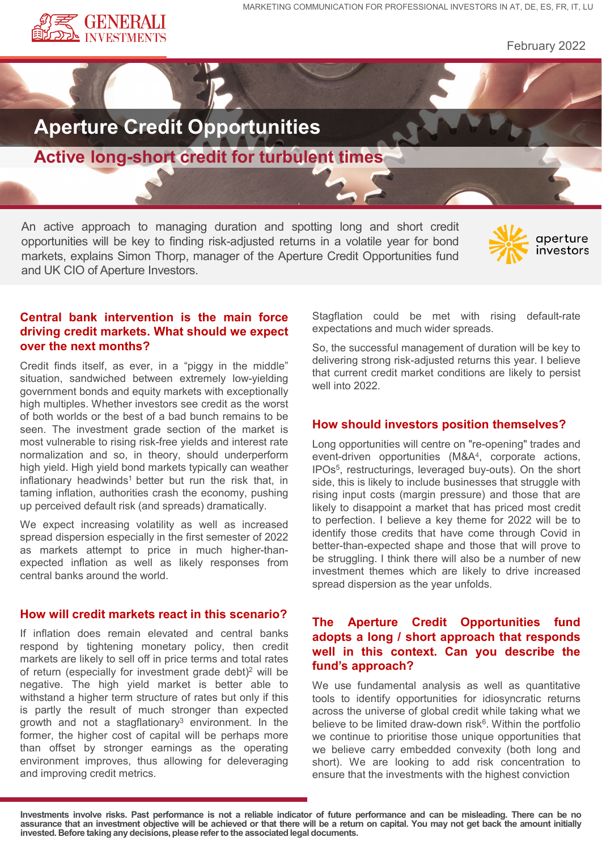

February 2022



An active approach to managing duration and spotting long and short credit opportunities will be key to finding risk-adjusted returns in a volatile year for bond markets, explains Simon Thorp, manager of the Aperture Credit Opportunities fund and UK CIO of Aperture Investors.



# **Central bank intervention is the main force driving credit markets. What should we expect over the next months?**

Credit finds itself, as ever, in a "piggy in the middle" situation, sandwiched between extremely low-yielding government bonds and equity markets with exceptionally high multiples. Whether investors see credit as the worst of both worlds or the best of a bad bunch remains to be seen. The investment grade section of the market is most vulnerable to rising risk-free yields and interest rate normalization and so, in theory, should underperform high yield. High yield bond markets typically can weather inflationary headwinds<sup>1</sup> better but run the risk that, in taming inflation, authorities crash the economy, pushing up perceived default risk (and spreads) dramatically.

We expect increasing volatility as well as increased spread dispersion especially in the first semester of 2022 as markets attempt to price in much higher-thanexpected inflation as well as likely responses from central banks around the world.

## **How will credit markets react in this scenario?**

If inflation does remain elevated and central banks respond by tightening monetary policy, then credit markets are likely to sell off in price terms and total rates of return (especially for investment grade debt)<sup>2</sup> will be negative. The high yield market is better able to withstand a higher term structure of rates but only if this is partly the result of much stronger than expected growth and not a stagflationary $3$  environment. In the former, the higher cost of capital will be perhaps more than offset by stronger earnings as the operating environment improves, thus allowing for deleveraging and improving credit metrics.

Stagflation could be met with rising default-rate expectations and much wider spreads.

So, the successful management of duration will be key to delivering strong risk-adjusted returns this year. I believe that current credit market conditions are likely to persist well into 2022.

### **How should investors position themselves?**

Long opportunities will centre on "re-opening" trades and event-driven opportunities (M&A4, corporate actions, IPOs5, restructurings, leveraged buy-outs). On the short side, this is likely to include businesses that struggle with rising input costs (margin pressure) and those that are likely to disappoint a market that has priced most credit to perfection. I believe a key theme for 2022 will be to identify those credits that have come through Covid in better-than-expected shape and those that will prove to be struggling. I think there will also be a number of new investment themes which are likely to drive increased spread dispersion as the year unfolds.

# **The Aperture Credit Opportunities fund adopts a long / short approach that responds well in this context. Can you describe the fund's approach?**

We use fundamental analysis as well as quantitative tools to identify opportunities for idiosyncratic returns across the universe of global credit while taking what we believe to be limited draw-down risk<sup>6</sup>. Within the portfolio we continue to prioritise those unique opportunities that we believe carry embedded convexity (both long and short). We are looking to add risk concentration to ensure that the investments with the highest conviction

Investments involve risks. Past performance is not a reliable indicator of future performance and can be misleading. There can be no assurance that an investment objective will be achieved or that there will be a return on capital. You may not get back the amount initially **invested. Before taking any decisions,please referto the associatedlegal documents.**